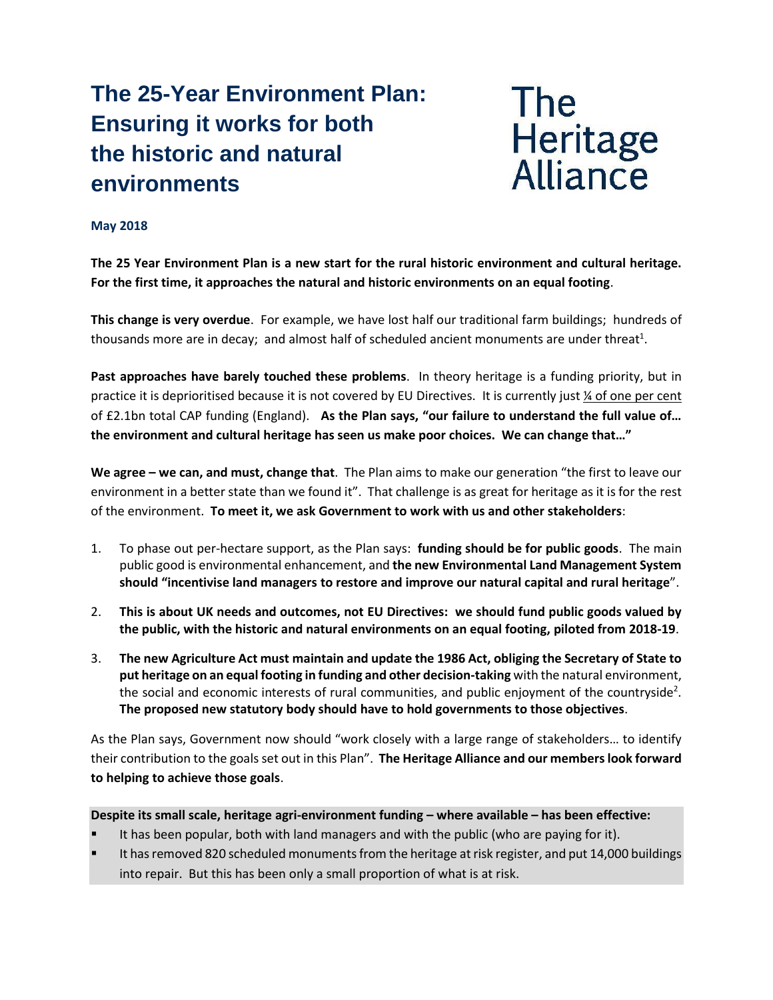# **The 25-Year Environment Plan: Ensuring it works for both the historic and natural environments**



## **May 2018**

**The 25 Year Environment Plan is a new start for the rural historic environment and cultural heritage. For the first time, it approaches the natural and historic environments on an equal footing**.

**This change is very overdue**. For example, we have lost half our traditional farm buildings; hundreds of thousands more are in decay; and almost half of scheduled ancient monuments are under threat<sup>1</sup>.

**Past approaches have barely touched these problems**. In theory heritage is a funding priority, but in practice it is deprioritised because it is not covered by EU Directives. It is currently just 1/4 of one per cent of £2.1bn total CAP funding (England). **As the Plan says, "our failure to understand the full value of… the environment and cultural heritage has seen us make poor choices. We can change that…"**

**We agree – we can, and must, change that**. The Plan aims to make our generation "the first to leave our environment in a better state than we found it". That challenge is as great for heritage as it is for the rest of the environment. **To meet it, we ask Government to work with us and other stakeholders**:

- 1. To phase out per-hectare support, as the Plan says: **funding should be for public goods**. The main public good is environmental enhancement, and **the new Environmental Land Management System should "incentivise land managers to restore and improve our natural capital and rural heritage**".
- 2. **This is about UK needs and outcomes, not EU Directives: we should fund public goods valued by the public, with the historic and natural environments on an equal footing, piloted from 2018-19**.
- 3. **The new Agriculture Act must maintain and update the 1986 Act, obliging the Secretary of State to put heritage on an equal footing in funding and other decision-taking** with the natural environment, the social and economic interests of rural communities, and public enjoyment of the countryside<sup>2</sup>. **The proposed new statutory body should have to hold governments to those objectives**.

As the Plan says, Government now should "work closely with a large range of stakeholders… to identify their contribution to the goals set out in this Plan". **The Heritage Alliance and our members look forward to helping to achieve those goals**.

**Despite its small scale, heritage agri-environment funding – where available – has been effective:**

- It has been popular, both with land managers and with the public (who are paying for it).
- It has removed 820 scheduled monuments from the heritage at risk register, and put 14,000 buildings into repair. But this has been only a small proportion of what is at risk.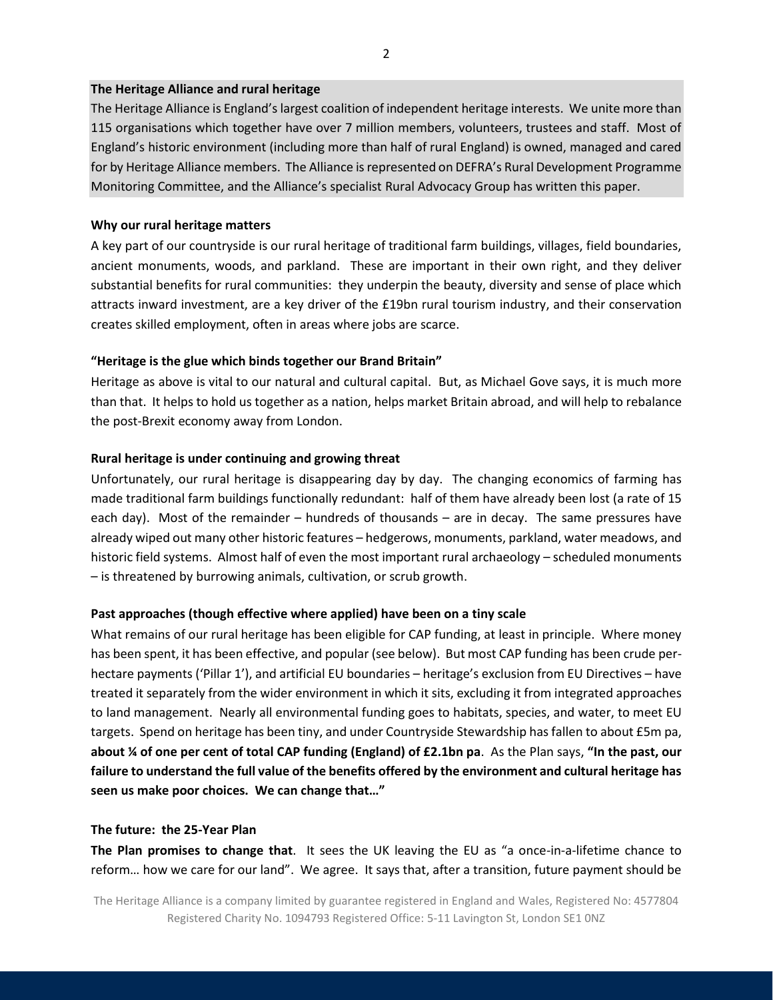#### **The Heritage Alliance and rural heritage**

The Heritage Alliance is England's largest coalition of independent heritage interests. We unite more than 115 organisations which together have over 7 million members, volunteers, trustees and staff. Most of England's historic environment (including more than half of rural England) is owned, managed and cared for by Heritage Alliance members. The Alliance is represented on DEFRA's Rural Development Programme Monitoring Committee, and the Alliance's specialist Rural Advocacy Group has written this paper.

#### **Why our rural heritage matters**

A key part of our countryside is our rural heritage of traditional farm buildings, villages, field boundaries, ancient monuments, woods, and parkland. These are important in their own right, and they deliver substantial benefits for rural communities: they underpin the beauty, diversity and sense of place which attracts inward investment, are a key driver of the £19bn rural tourism industry, and their conservation creates skilled employment, often in areas where jobs are scarce.

# **"Heritage is the glue which binds together our Brand Britain"**

Heritage as above is vital to our natural and cultural capital. But, as Michael Gove says, it is much more than that. It helps to hold us together as a nation, helps market Britain abroad, and will help to rebalance the post-Brexit economy away from London.

## **Rural heritage is under continuing and growing threat**

Unfortunately, our rural heritage is disappearing day by day. The changing economics of farming has made traditional farm buildings functionally redundant: half of them have already been lost (a rate of 15 each day). Most of the remainder – hundreds of thousands – are in decay. The same pressures have already wiped out many other historic features – hedgerows, monuments, parkland, water meadows, and historic field systems. Almost half of even the most important rural archaeology – scheduled monuments – is threatened by burrowing animals, cultivation, or scrub growth.

#### **Past approaches (though effective where applied) have been on a tiny scale**

What remains of our rural heritage has been eligible for CAP funding, at least in principle. Where money has been spent, it has been effective, and popular (see below). But most CAP funding has been crude perhectare payments ('Pillar 1'), and artificial EU boundaries – heritage's exclusion from EU Directives – have treated it separately from the wider environment in which it sits, excluding it from integrated approaches to land management. Nearly all environmental funding goes to habitats, species, and water, to meet EU targets. Spend on heritage has been tiny, and under Countryside Stewardship has fallen to about £5m pa, **about ¼ of one per cent of total CAP funding (England) of £2.1bn pa**. As the Plan says, **"In the past, our failure to understand the full value of the benefits offered by the environment and cultural heritage has seen us make poor choices. We can change that…"**

#### **The future: the 25-Year Plan**

**The Plan promises to change that**. It sees the UK leaving the EU as "a once-in-a-lifetime chance to reform… how we care for our land". We agree. It says that, after a transition, future payment should be

The Heritage Alliance is a company limited by guarantee registered in England and Wales, Registered No: 4577804 Registered Charity No. 1094793 Registered Office: 5-11 Lavington St, London SE1 0NZ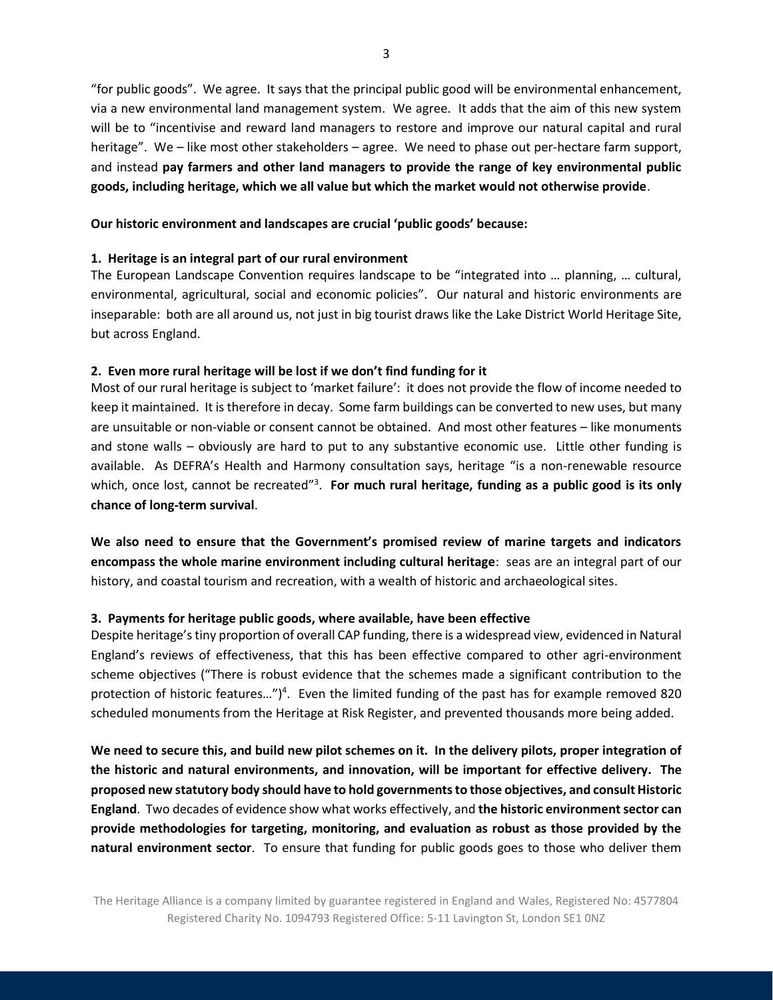"for public goods". We agree. It says that the principal public good will be environmental enhancement, via a new environmental land management system. We agree. It adds that the aim of this new system will be to "incentivise and reward land managers to restore and improve our natural capital and rural heritage". We – like most other stakeholders – agree. We need to phase out per-hectare farm support, and instead **pay farmers and other land managers to provide the range of key environmental public goods, including heritage, which we all value but which the market would not otherwise provide**.

## **Our historic environment and landscapes are crucial 'public goods' because:**

## **1. Heritage is an integral part of our rural environment**

The European Landscape Convention requires landscape to be "integrated into … planning, … cultural, environmental, agricultural, social and economic policies". Our natural and historic environments are inseparable: both are all around us, not just in big tourist draws like the Lake District World Heritage Site, but across England.

## **2. Even more rural heritage will be lost if we don't find funding for it**

Most of our rural heritage is subject to 'market failure': it does not provide the flow of income needed to keep it maintained. It is therefore in decay. Some farm buildings can be converted to new uses, but many are unsuitable or non-viable or consent cannot be obtained. And most other features – like monuments and stone walls – obviously are hard to put to any substantive economic use. Little other funding is available. As DEFRA's Health and Harmony consultation says, heritage "is a non-renewable resource which, once lost, cannot be recreated"<sup>3</sup>. For much rural heritage, funding as a public good is its only **chance of long-term survival**.

**We also need to ensure that the Government's promised review of marine targets and indicators encompass the whole marine environment including cultural heritage**: seas are an integral part of our history, and coastal tourism and recreation, with a wealth of historic and archaeological sites.

#### **3. Payments for heritage public goods, where available, have been effective**

Despite heritage's tiny proportion of overall CAP funding, there is a widespread view, evidenced in Natural England's reviews of effectiveness, that this has been effective compared to other agri-environment scheme objectives ("There is robust evidence that the schemes made a significant contribution to the protection of historic features...")<sup>4</sup>. Even the limited funding of the past has for example removed 820 scheduled monuments from the Heritage at Risk Register, and prevented thousands more being added.

**We need to secure this, and build new pilot schemes on it. In the delivery pilots, proper integration of the historic and natural environments, and innovation, will be important for effective delivery. The proposed new statutory body should have to hold governments to those objectives, and consult Historic England**. Two decades of evidence show what works effectively, and **the historic environment sector can provide methodologies for targeting, monitoring, and evaluation as robust as those provided by the natural environment sector**. To ensure that funding for public goods goes to those who deliver them

The Heritage Alliance is a company limited by guarantee registered in England and Wales, Registered No: 4577804 Registered Charity No. 1094793 Registered Office: 5-11 Lavington St, London SE1 0NZ